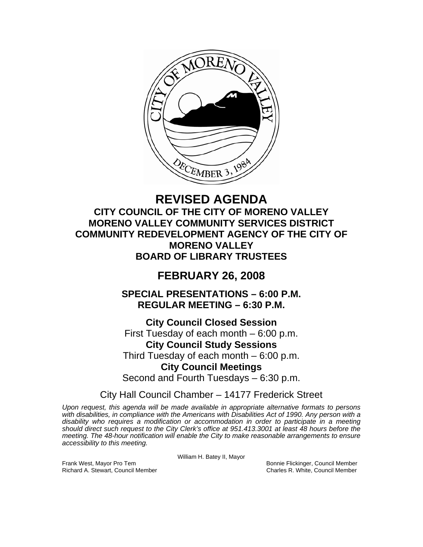

# **REVISED AGENDA CITY COUNCIL OF THE CITY OF MORENO VALLEY MORENO VALLEY COMMUNITY SERVICES DISTRICT COMMUNITY REDEVELOPMENT AGENCY OF THE CITY OF MORENO VALLEY BOARD OF LIBRARY TRUSTEES**

# **FEBRUARY 26, 2008**

**SPECIAL PRESENTATIONS – 6:00 P.M. REGULAR MEETING – 6:30 P.M.** 

**City Council Closed Session**  First Tuesday of each month – 6:00 p.m. **City Council Study Sessions**  Third Tuesday of each month – 6:00 p.m. **City Council Meetings**  Second and Fourth Tuesdays – 6:30 p.m.

City Hall Council Chamber – 14177 Frederick Street

*Upon request, this agenda will be made available in appropriate alternative formats to persons with disabilities, in compliance with the Americans with Disabilities Act of 1990. Any person with a disability who requires a modification or accommodation in order to participate in a meeting should direct such request to the City Clerk's office at 951.413.3001 at least 48 hours before the meeting. The 48-hour notification will enable the City to make reasonable arrangements to ensure accessibility to this meeting.* 

William H. Batey II, Mayor

Frank West, Mayor Pro Tem Bonnie Flickinger, Council Member Richard A. Stewart, Council Member Charles R. White, Council Member Charles R. White, Council Member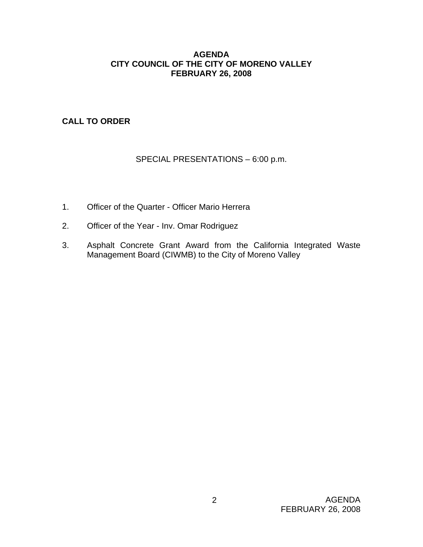## **AGENDA CITY COUNCIL OF THE CITY OF MORENO VALLEY FEBRUARY 26, 2008**

**CALL TO ORDER**

# SPECIAL PRESENTATIONS – 6:00 p.m.

- 1. Officer of the Quarter Officer Mario Herrera
- 2. Officer of the Year Inv. Omar Rodriguez
- 3. Asphalt Concrete Grant Award from the California Integrated Waste Management Board (CIWMB) to the City of Moreno Valley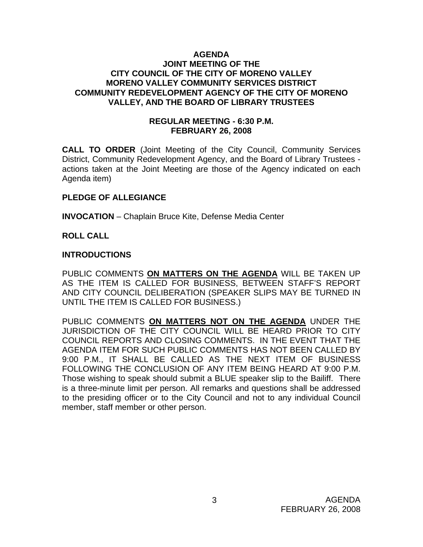#### **AGENDA JOINT MEETING OF THE CITY COUNCIL OF THE CITY OF MORENO VALLEY MORENO VALLEY COMMUNITY SERVICES DISTRICT COMMUNITY REDEVELOPMENT AGENCY OF THE CITY OF MORENO VALLEY, AND THE BOARD OF LIBRARY TRUSTEES**

### **REGULAR MEETING - 6:30 P.M. FEBRUARY 26, 2008**

**CALL TO ORDER** (Joint Meeting of the City Council, Community Services District, Community Redevelopment Agency, and the Board of Library Trustees actions taken at the Joint Meeting are those of the Agency indicated on each Agenda item)

## **PLEDGE OF ALLEGIANCE**

**INVOCATION** – Chaplain Bruce Kite, Defense Media Center

#### **ROLL CALL**

#### **INTRODUCTIONS**

PUBLIC COMMENTS **ON MATTERS ON THE AGENDA** WILL BE TAKEN UP AS THE ITEM IS CALLED FOR BUSINESS, BETWEEN STAFF'S REPORT AND CITY COUNCIL DELIBERATION (SPEAKER SLIPS MAY BE TURNED IN UNTIL THE ITEM IS CALLED FOR BUSINESS.)

PUBLIC COMMENTS **ON MATTERS NOT ON THE AGENDA** UNDER THE JURISDICTION OF THE CITY COUNCIL WILL BE HEARD PRIOR TO CITY COUNCIL REPORTS AND CLOSING COMMENTS. IN THE EVENT THAT THE AGENDA ITEM FOR SUCH PUBLIC COMMENTS HAS NOT BEEN CALLED BY 9:00 P.M., IT SHALL BE CALLED AS THE NEXT ITEM OF BUSINESS FOLLOWING THE CONCLUSION OF ANY ITEM BEING HEARD AT 9:00 P.M. Those wishing to speak should submit a BLUE speaker slip to the Bailiff. There is a three-minute limit per person. All remarks and questions shall be addressed to the presiding officer or to the City Council and not to any individual Council member, staff member or other person.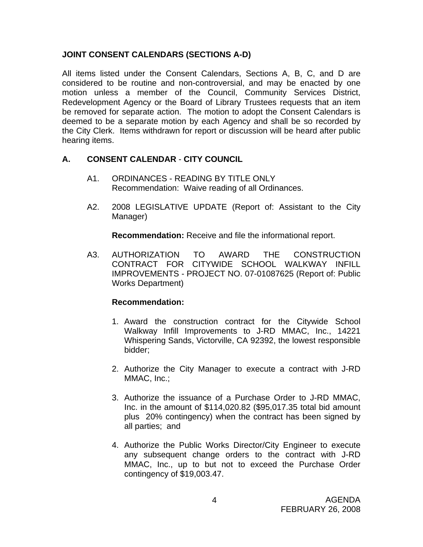## **JOINT CONSENT CALENDARS (SECTIONS A-D)**

All items listed under the Consent Calendars, Sections A, B, C, and D are considered to be routine and non-controversial, and may be enacted by one motion unless a member of the Council, Community Services District, Redevelopment Agency or the Board of Library Trustees requests that an item be removed for separate action. The motion to adopt the Consent Calendars is deemed to be a separate motion by each Agency and shall be so recorded by the City Clerk. Items withdrawn for report or discussion will be heard after public hearing items.

# **A. CONSENT CALENDAR** - **CITY COUNCIL**

- A1. ORDINANCES READING BY TITLE ONLY Recommendation: Waive reading of all Ordinances.
- A2. 2008 LEGISLATIVE UPDATE (Report of: Assistant to the City Manager)

**Recommendation:** Receive and file the informational report.

A3. AUTHORIZATION TO AWARD THE CONSTRUCTION CONTRACT FOR CITYWIDE SCHOOL WALKWAY INFILL IMPROVEMENTS - PROJECT NO. 07-01087625 (Report of: Public Works Department)

- 1. Award the construction contract for the Citywide School Walkway Infill Improvements to J-RD MMAC, Inc., 14221 Whispering Sands, Victorville, CA 92392, the lowest responsible bidder;
- 2. Authorize the City Manager to execute a contract with J-RD MMAC, Inc.;
- 3. Authorize the issuance of a Purchase Order to J-RD MMAC, Inc. in the amount of \$114,020.82 (\$95,017.35 total bid amount plus 20% contingency) when the contract has been signed by all parties; and
- 4. Authorize the Public Works Director/City Engineer to execute any subsequent change orders to the contract with J-RD MMAC, Inc., up to but not to exceed the Purchase Order contingency of \$19,003.47.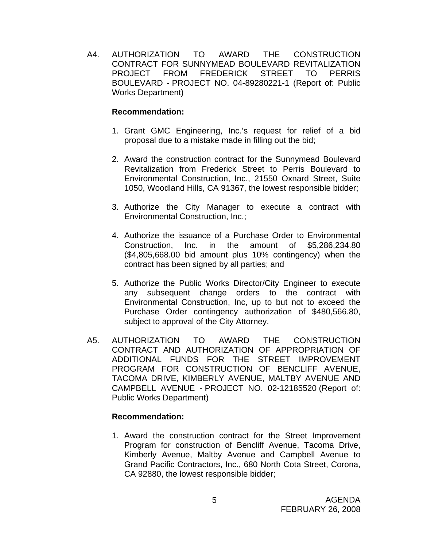A4. AUTHORIZATION TO AWARD THE CONSTRUCTION CONTRACT FOR SUNNYMEAD BOULEVARD REVITALIZATION PROJECT FROM FREDERICK STREET TO PERRIS BOULEVARD - PROJECT NO. 04-89280221-1 (Report of: Public Works Department)

## **Recommendation:**

- 1. Grant GMC Engineering, Inc.'s request for relief of a bid proposal due to a mistake made in filling out the bid;
- 2. Award the construction contract for the Sunnymead Boulevard Revitalization from Frederick Street to Perris Boulevard to Environmental Construction, Inc., 21550 Oxnard Street, Suite 1050, Woodland Hills, CA 91367, the lowest responsible bidder;
- 3. Authorize the City Manager to execute a contract with Environmental Construction, Inc.;
- 4. Authorize the issuance of a Purchase Order to Environmental Construction, Inc. in the amount of \$5,286,234.80 (\$4,805,668.00 bid amount plus 10% contingency) when the contract has been signed by all parties; and
- 5. Authorize the Public Works Director/City Engineer to execute any subsequent change orders to the contract with Environmental Construction, Inc, up to but not to exceed the Purchase Order contingency authorization of \$480,566.80, subject to approval of the City Attorney.
- A5. AUTHORIZATION TO AWARD THE CONSTRUCTION CONTRACT AND AUTHORIZATION OF APPROPRIATION OF ADDITIONAL FUNDS FOR THE STREET IMPROVEMENT PROGRAM FOR CONSTRUCTION OF BENCLIFF AVENUE, TACOMA DRIVE, KIMBERLY AVENUE, MALTBY AVENUE AND CAMPBELL AVENUE - PROJECT NO. 02-12185520 (Report of: Public Works Department)

#### **Recommendation:**

1. Award the construction contract for the Street Improvement Program for construction of Bencliff Avenue, Tacoma Drive, Kimberly Avenue, Maltby Avenue and Campbell Avenue to Grand Pacific Contractors, Inc., 680 North Cota Street, Corona, CA 92880, the lowest responsible bidder;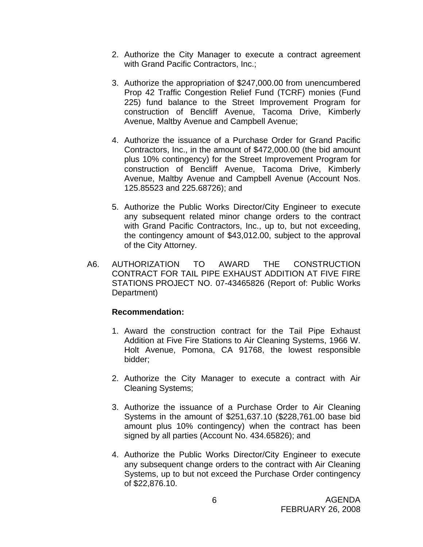- 2. Authorize the City Manager to execute a contract agreement with Grand Pacific Contractors, Inc.;
- 3. Authorize the appropriation of \$247,000.00 from unencumbered Prop 42 Traffic Congestion Relief Fund (TCRF) monies (Fund 225) fund balance to the Street Improvement Program for construction of Bencliff Avenue, Tacoma Drive, Kimberly Avenue, Maltby Avenue and Campbell Avenue;
- 4. Authorize the issuance of a Purchase Order for Grand Pacific Contractors, Inc., in the amount of \$472,000.00 (the bid amount plus 10% contingency) for the Street Improvement Program for construction of Bencliff Avenue, Tacoma Drive, Kimberly Avenue, Maltby Avenue and Campbell Avenue (Account Nos. 125.85523 and 225.68726); and
- 5. Authorize the Public Works Director/City Engineer to execute any subsequent related minor change orders to the contract with Grand Pacific Contractors, Inc., up to, but not exceeding, the contingency amount of \$43,012.00, subject to the approval of the City Attorney.
- A6. AUTHORIZATION TO AWARD THE CONSTRUCTION CONTRACT FOR TAIL PIPE EXHAUST ADDITION AT FIVE FIRE STATIONS PROJECT NO. 07-43465826 (Report of: Public Works Department)

- 1. Award the construction contract for the Tail Pipe Exhaust Addition at Five Fire Stations to Air Cleaning Systems, 1966 W. Holt Avenue, Pomona, CA 91768, the lowest responsible bidder;
- 2. Authorize the City Manager to execute a contract with Air Cleaning Systems;
- 3. Authorize the issuance of a Purchase Order to Air Cleaning Systems in the amount of \$251,637.10 (\$228,761.00 base bid amount plus 10% contingency) when the contract has been signed by all parties (Account No. 434.65826); and
- 4. Authorize the Public Works Director/City Engineer to execute any subsequent change orders to the contract with Air Cleaning Systems, up to but not exceed the Purchase Order contingency of \$22,876.10.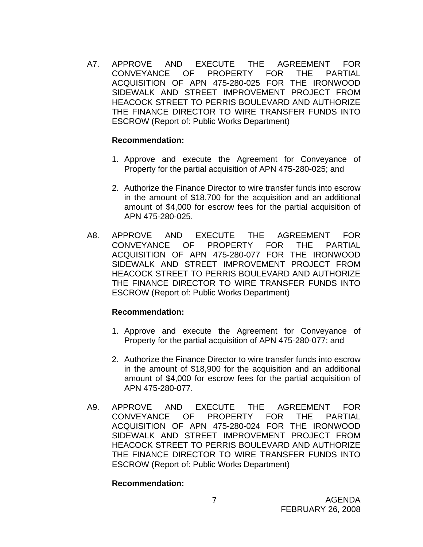A7. APPROVE AND EXECUTE THE AGREEMENT FOR CONVEYANCE OF PROPERTY FOR THE PARTIAL ACQUISITION OF APN 475-280-025 FOR THE IRONWOOD SIDEWALK AND STREET IMPROVEMENT PROJECT FROM HEACOCK STREET TO PERRIS BOULEVARD AND AUTHORIZE THE FINANCE DIRECTOR TO WIRE TRANSFER FUNDS INTO ESCROW (Report of: Public Works Department)

#### **Recommendation:**

- 1. Approve and execute the Agreement for Conveyance of Property for the partial acquisition of APN 475-280-025; and
- 2. Authorize the Finance Director to wire transfer funds into escrow in the amount of \$18,700 for the acquisition and an additional amount of \$4,000 for escrow fees for the partial acquisition of APN 475-280-025.
- A8. APPROVE AND EXECUTE THE AGREEMENT FOR CONVEYANCE OF PROPERTY FOR THE PARTIAL ACQUISITION OF APN 475-280-077 FOR THE IRONWOOD SIDEWALK AND STREET IMPROVEMENT PROJECT FROM HEACOCK STREET TO PERRIS BOULEVARD AND AUTHORIZE THE FINANCE DIRECTOR TO WIRE TRANSFER FUNDS INTO ESCROW (Report of: Public Works Department)

#### **Recommendation:**

- 1. Approve and execute the Agreement for Conveyance of Property for the partial acquisition of APN 475-280-077; and
- 2. Authorize the Finance Director to wire transfer funds into escrow in the amount of \$18,900 for the acquisition and an additional amount of \$4,000 for escrow fees for the partial acquisition of APN 475-280-077.
- A9. APPROVE AND EXECUTE THE AGREEMENT FOR CONVEYANCE OF PROPERTY FOR THE PARTIAL ACQUISITION OF APN 475-280-024 FOR THE IRONWOOD SIDEWALK AND STREET IMPROVEMENT PROJECT FROM HEACOCK STREET TO PERRIS BOULEVARD AND AUTHORIZE THE FINANCE DIRECTOR TO WIRE TRANSFER FUNDS INTO ESCROW (Report of: Public Works Department)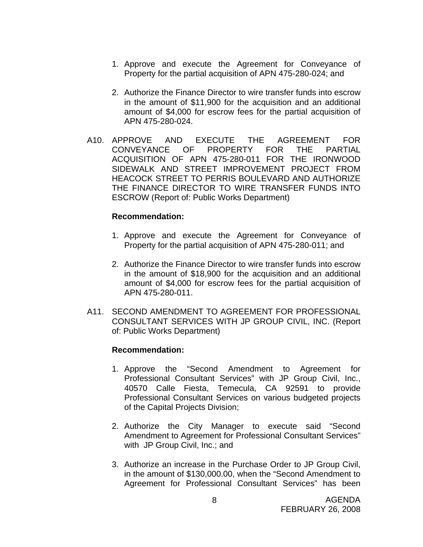- 1. Approve and execute the Agreement for Conveyance of Property for the partial acquisition of APN 475-280-024; and
- 2. Authorize the Finance Director to wire transfer funds into escrow in the amount of \$11,900 for the acquisition and an additional amount of \$4,000 for escrow fees for the partial acquisition of APN 475-280-024.
- A10. APPROVE AND EXECUTE THE AGREEMENT FOR CONVEYANCE OF PROPERTY FOR THE PARTIAL ACQUISITION OF APN 475-280-011 FOR THE IRONWOOD SIDEWALK AND STREET IMPROVEMENT PROJECT FROM HEACOCK STREET TO PERRIS BOULEVARD AND AUTHORIZE THE FINANCE DIRECTOR TO WIRE TRANSFER FUNDS INTO ESCROW (Report of: Public Works Department)

#### **Recommendation:**

- 1. Approve and execute the Agreement for Conveyance of Property for the partial acquisition of APN 475-280-011; and
- 2. Authorize the Finance Director to wire transfer funds into escrow in the amount of \$18,900 for the acquisition and an additional amount of \$4,000 for escrow fees for the partial acquisition of APN 475-280-011.
- A11. SECOND AMENDMENT TO AGREEMENT FOR PROFESSIONAL CONSULTANT SERVICES WITH JP GROUP CIVIL, INC. (Report of: Public Works Department)

- 1. Approve the "Second Amendment to Agreement for Professional Consultant Services" with JP Group Civil, Inc., 40570 Calle Fiesta, Temecula, CA 92591 to provide Professional Consultant Services on various budgeted projects of the Capital Projects Division;
- 2. Authorize the City Manager to execute said "Second Amendment to Agreement for Professional Consultant Services" with JP Group Civil, Inc.; and
- 3. Authorize an increase in the Purchase Order to JP Group Civil, in the amount of \$130,000.00, when the "Second Amendment to Agreement for Professional Consultant Services" has been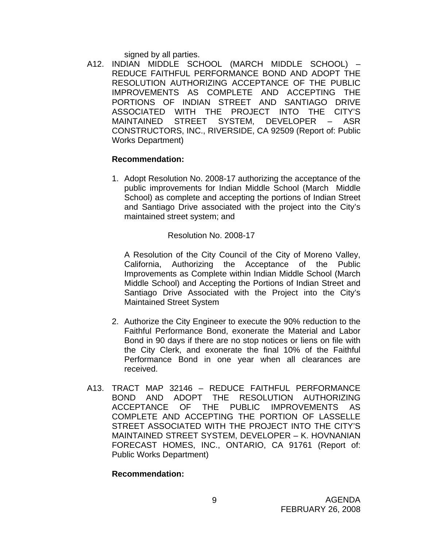signed by all parties.

A12. INDIAN MIDDLE SCHOOL (MARCH MIDDLE SCHOOL) – REDUCE FAITHFUL PERFORMANCE BOND AND ADOPT THE RESOLUTION AUTHORIZING ACCEPTANCE OF THE PUBLIC IMPROVEMENTS AS COMPLETE AND ACCEPTING THE PORTIONS OF INDIAN STREET AND SANTIAGO DRIVE ASSOCIATED WITH THE PROJECT INTO THE CITY'S MAINTAINED STREET SYSTEM, DEVELOPER – ASR CONSTRUCTORS, INC., RIVERSIDE, CA 92509 (Report of: Public Works Department)

#### **Recommendation:**

1. Adopt Resolution No. 2008-17 authorizing the acceptance of the public improvements for Indian Middle School (March Middle School) as complete and accepting the portions of Indian Street and Santiago Drive associated with the project into the City's maintained street system; and

Resolution No. 2008-17

A Resolution of the City Council of the City of Moreno Valley, California, Authorizing the Acceptance of the Public Improvements as Complete within Indian Middle School (March Middle School) and Accepting the Portions of Indian Street and Santiago Drive Associated with the Project into the City's Maintained Street System

- 2. Authorize the City Engineer to execute the 90% reduction to the Faithful Performance Bond, exonerate the Material and Labor Bond in 90 days if there are no stop notices or liens on file with the City Clerk, and exonerate the final 10% of the Faithful Performance Bond in one year when all clearances are received.
- A13. TRACT MAP 32146 REDUCE FAITHFUL PERFORMANCE BOND AND ADOPT THE RESOLUTION AUTHORIZING ACCEPTANCE OF THE PUBLIC IMPROVEMENTS AS COMPLETE AND ACCEPTING THE PORTION OF LASSELLE STREET ASSOCIATED WITH THE PROJECT INTO THE CITY'S MAINTAINED STREET SYSTEM, DEVELOPER – K. HOVNANIAN FORECAST HOMES, INC., ONTARIO, CA 91761 (Report of: Public Works Department)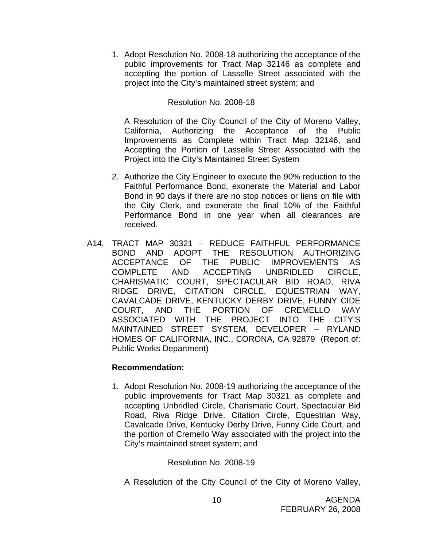1. Adopt Resolution No. 2008-18 authorizing the acceptance of the public improvements for Tract Map 32146 as complete and accepting the portion of Lasselle Street associated with the project into the City's maintained street system; and

## Resolution No. 2008-18

 A Resolution of the City Council of the City of Moreno Valley, California, Authorizing the Acceptance of the Public Improvements as Complete within Tract Map 32146, and Accepting the Portion of Lasselle Street Associated with the Project into the City's Maintained Street System

- 2. Authorize the City Engineer to execute the 90% reduction to the Faithful Performance Bond, exonerate the Material and Labor Bond in 90 days if there are no stop notices or liens on file with the City Clerk, and exonerate the final 10% of the Faithful Performance Bond in one year when all clearances are received.
- A14. TRACT MAP 30321 REDUCE FAITHFUL PERFORMANCE BOND AND ADOPT THE RESOLUTION AUTHORIZING ACCEPTANCE OF THE PUBLIC IMPROVEMENTS AS COMPLETE AND ACCEPTING UNBRIDLED CIRCLE, CHARISMATIC COURT, SPECTACULAR BID ROAD, RIVA RIDGE DRIVE, CITATION CIRCLE, EQUESTRIAN WAY, CAVALCADE DRIVE, KENTUCKY DERBY DRIVE, FUNNY CIDE COURT, AND THE PORTION OF CREMELLO WAY ASSOCIATED WITH THE PROJECT INTO THE CITY'S MAINTAINED STREET SYSTEM, DEVELOPER – RYLAND HOMES OF CALIFORNIA, INC., CORONA, CA 92879 (Report of: Public Works Department)

#### **Recommendation:**

1. Adopt Resolution No. 2008-19 authorizing the acceptance of the public improvements for Tract Map 30321 as complete and accepting Unbridled Circle, Charismatic Court, Spectacular Bid Road, Riva Ridge Drive, Citation Circle, Equestrian Way, Cavalcade Drive, Kentucky Derby Drive, Funny Cide Court, and the portion of Cremello Way associated with the project into the City's maintained street system; and

#### Resolution No. 2008-19

A Resolution of the City Council of the City of Moreno Valley,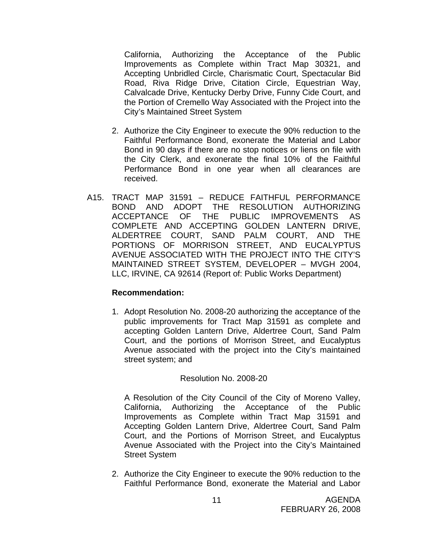California, Authorizing the Acceptance of the Public Improvements as Complete within Tract Map 30321, and Accepting Unbridled Circle, Charismatic Court, Spectacular Bid Road, Riva Ridge Drive, Citation Circle, Equestrian Way, Calvalcade Drive, Kentucky Derby Drive, Funny Cide Court, and the Portion of Cremello Way Associated with the Project into the City's Maintained Street System

- 2. Authorize the City Engineer to execute the 90% reduction to the Faithful Performance Bond, exonerate the Material and Labor Bond in 90 days if there are no stop notices or liens on file with the City Clerk, and exonerate the final 10% of the Faithful Performance Bond in one year when all clearances are received.
- A15. TRACT MAP 31591 REDUCE FAITHFUL PERFORMANCE BOND AND ADOPT THE RESOLUTION AUTHORIZING ACCEPTANCE OF THE PUBLIC IMPROVEMENTS AS COMPLETE AND ACCEPTING GOLDEN LANTERN DRIVE, ALDERTREE COURT, SAND PALM COURT, AND THE PORTIONS OF MORRISON STREET, AND EUCALYPTUS AVENUE ASSOCIATED WITH THE PROJECT INTO THE CITY'S MAINTAINED STREET SYSTEM, DEVELOPER – MVGH 2004, LLC, IRVINE, CA 92614 (Report of: Public Works Department)

#### **Recommendation:**

1. Adopt Resolution No. 2008-20 authorizing the acceptance of the public improvements for Tract Map 31591 as complete and accepting Golden Lantern Drive, Aldertree Court, Sand Palm Court, and the portions of Morrison Street, and Eucalyptus Avenue associated with the project into the City's maintained street system; and

#### Resolution No. 2008-20

A Resolution of the City Council of the City of Moreno Valley, California, Authorizing the Acceptance of the Public Improvements as Complete within Tract Map 31591 and Accepting Golden Lantern Drive, Aldertree Court, Sand Palm Court, and the Portions of Morrison Street, and Eucalyptus Avenue Associated with the Project into the City's Maintained Street System

2. Authorize the City Engineer to execute the 90% reduction to the Faithful Performance Bond, exonerate the Material and Labor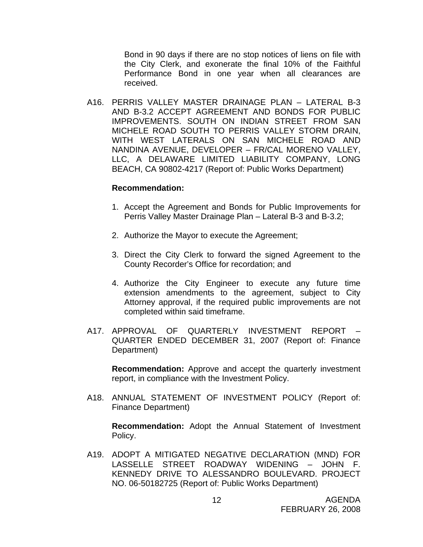Bond in 90 days if there are no stop notices of liens on file with the City Clerk, and exonerate the final 10% of the Faithful Performance Bond in one year when all clearances are received.

A16. PERRIS VALLEY MASTER DRAINAGE PLAN – LATERAL B-3 AND B-3.2 ACCEPT AGREEMENT AND BONDS FOR PUBLIC IMPROVEMENTS. SOUTH ON INDIAN STREET FROM SAN MICHELE ROAD SOUTH TO PERRIS VALLEY STORM DRAIN, WITH WEST LATERALS ON SAN MICHELE ROAD AND NANDINA AVENUE, DEVELOPER – FR/CAL MORENO VALLEY, LLC, A DELAWARE LIMITED LIABILITY COMPANY, LONG BEACH, CA 90802-4217 (Report of: Public Works Department)

#### **Recommendation:**

- 1. Accept the Agreement and Bonds for Public Improvements for Perris Valley Master Drainage Plan – Lateral B-3 and B-3.2;
- 2. Authorize the Mayor to execute the Agreement;
- 3. Direct the City Clerk to forward the signed Agreement to the County Recorder's Office for recordation; and
- 4. Authorize the City Engineer to execute any future time extension amendments to the agreement, subject to City Attorney approval, if the required public improvements are not completed within said timeframe.
- A17. APPROVAL OF QUARTERLY INVESTMENT REPORT QUARTER ENDED DECEMBER 31, 2007 (Report of: Finance Department)

**Recommendation:** Approve and accept the quarterly investment report, in compliance with the Investment Policy.

A18. ANNUAL STATEMENT OF INVESTMENT POLICY (Report of: Finance Department)

**Recommendation:** Adopt the Annual Statement of Investment Policy.

A19. ADOPT A MITIGATED NEGATIVE DECLARATION (MND) FOR LASSELLE STREET ROADWAY WIDENING – JOHN F. KENNEDY DRIVE TO ALESSANDRO BOULEVARD. PROJECT NO. 06-50182725 (Report of: Public Works Department)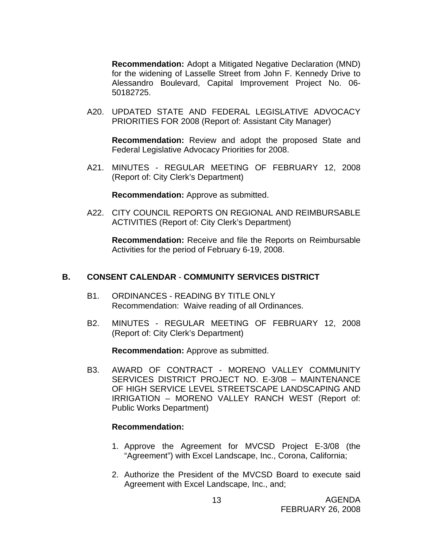**Recommendation:** Adopt a Mitigated Negative Declaration (MND) for the widening of Lasselle Street from John F. Kennedy Drive to Alessandro Boulevard, Capital Improvement Project No. 06- 50182725.

A20. UPDATED STATE AND FEDERAL LEGISLATIVE ADVOCACY PRIORITIES FOR 2008 (Report of: Assistant City Manager)

**Recommendation:** Review and adopt the proposed State and Federal Legislative Advocacy Priorities for 2008.

A21. MINUTES - REGULAR MEETING OF FEBRUARY 12, 2008 (Report of: City Clerk's Department)

**Recommendation:** Approve as submitted.

A22. CITY COUNCIL REPORTS ON REGIONAL AND REIMBURSABLE ACTIVITIES (Report of: City Clerk's Department)

**Recommendation:** Receive and file the Reports on Reimbursable Activities for the period of February 6-19, 2008.

#### **B. CONSENT CALENDAR** - **COMMUNITY SERVICES DISTRICT**

- B1. ORDINANCES READING BY TITLE ONLY Recommendation: Waive reading of all Ordinances.
- B2. MINUTES REGULAR MEETING OF FEBRUARY 12, 2008 (Report of: City Clerk's Department)

**Recommendation:** Approve as submitted.

B3. AWARD OF CONTRACT - MORENO VALLEY COMMUNITY SERVICES DISTRICT PROJECT NO. E-3/08 – MAINTENANCE OF HIGH SERVICE LEVEL STREETSCAPE LANDSCAPING AND IRRIGATION – MORENO VALLEY RANCH WEST (Report of: Public Works Department)

- 1. Approve the Agreement for MVCSD Project E-3/08 (the "Agreement") with Excel Landscape, Inc., Corona, California;
- 2. Authorize the President of the MVCSD Board to execute said Agreement with Excel Landscape, Inc., and;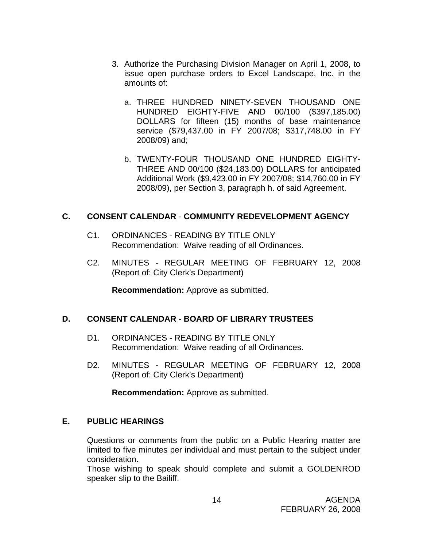- 3. Authorize the Purchasing Division Manager on April 1, 2008, to issue open purchase orders to Excel Landscape, Inc. in the amounts of:
	- a. THREE HUNDRED NINETY-SEVEN THOUSAND ONE HUNDRED EIGHTY-FIVE AND 00/100 (\$397,185.00) DOLLARS for fifteen (15) months of base maintenance service (\$79,437.00 in FY 2007/08; \$317,748.00 in FY 2008/09) and;
	- b. TWENTY-FOUR THOUSAND ONE HUNDRED EIGHTY-THREE AND 00/100 (\$24,183.00) DOLLARS for anticipated Additional Work (\$9,423.00 in FY 2007/08; \$14,760.00 in FY 2008/09), per Section 3, paragraph h. of said Agreement.

## **C. CONSENT CALENDAR** - **COMMUNITY REDEVELOPMENT AGENCY**

- C1. ORDINANCES READING BY TITLE ONLY Recommendation: Waive reading of all Ordinances.
- C2. MINUTES REGULAR MEETING OF FEBRUARY 12, 2008 (Report of: City Clerk's Department)

**Recommendation:** Approve as submitted.

# **D. CONSENT CALENDAR** - **BOARD OF LIBRARY TRUSTEES**

- D1. ORDINANCES READING BY TITLE ONLY Recommendation: Waive reading of all Ordinances.
- D2. MINUTES REGULAR MEETING OF FEBRUARY 12, 2008 (Report of: City Clerk's Department)

**Recommendation:** Approve as submitted.

# **E. PUBLIC HEARINGS**

Questions or comments from the public on a Public Hearing matter are limited to five minutes per individual and must pertain to the subject under consideration.

 Those wishing to speak should complete and submit a GOLDENROD speaker slip to the Bailiff.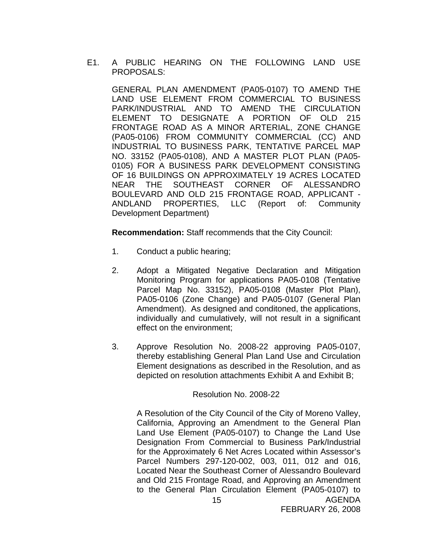E1. A PUBLIC HEARING ON THE FOLLOWING LAND USE PROPOSALS:

 GENERAL PLAN AMENDMENT (PA05-0107) TO AMEND THE LAND USE ELEMENT FROM COMMERCIAL TO BUSINESS PARK/INDUSTRIAL AND TO AMEND THE CIRCULATION ELEMENT TO DESIGNATE A PORTION OF OLD 215 FRONTAGE ROAD AS A MINOR ARTERIAL, ZONE CHANGE (PA05-0106) FROM COMMUNITY COMMERCIAL (CC) AND INDUSTRIAL TO BUSINESS PARK, TENTATIVE PARCEL MAP NO. 33152 (PA05-0108), AND A MASTER PLOT PLAN (PA05- 0105) FOR A BUSINESS PARK DEVELOPMENT CONSISTING OF 16 BUILDINGS ON APPROXIMATELY 19 ACRES LOCATED NEAR THE SOUTHEAST CORNER OF ALESSANDRO BOULEVARD AND OLD 215 FRONTAGE ROAD, APPLICANT - ANDLAND PROPERTIES, LLC (Report of: Community Development Department)

**Recommendation:** Staff recommends that the City Council:

- 1. Conduct a public hearing;
- 2. Adopt a Mitigated Negative Declaration and Mitigation Monitoring Program for applications PA05-0108 (Tentative Parcel Map No. 33152), PA05-0108 (Master Plot Plan), PA05-0106 (Zone Change) and PA05-0107 (General Plan Amendment). As designed and conditoned, the applications, individually and cumulatively, will not result in a significant effect on the environment;
- 3. Approve Resolution No. 2008-22 approving PA05-0107, thereby establishing General Plan Land Use and Circulation Element designations as described in the Resolution, and as depicted on resolution attachments Exhibit A and Exhibit B;

#### Resolution No. 2008-22

AGENDA 15 A Resolution of the City Council of the City of Moreno Valley, California, Approving an Amendment to the General Plan Land Use Element (PA05-0107) to Change the Land Use Designation From Commercial to Business Park/Industrial for the Approximately 6 Net Acres Located within Assessor's Parcel Numbers 297-120-002, 003, 011, 012 and 016, Located Near the Southeast Corner of Alessandro Boulevard and Old 215 Frontage Road, and Approving an Amendment to the General Plan Circulation Element (PA05-0107) to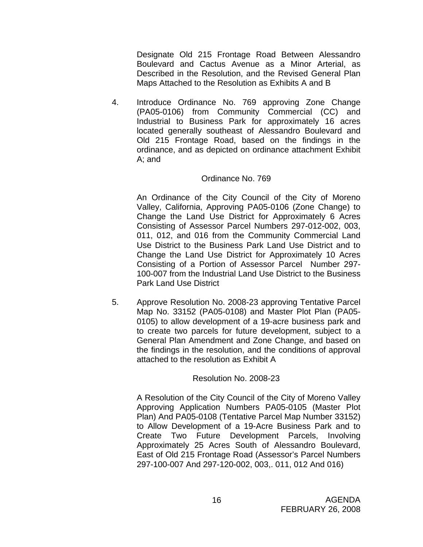Designate Old 215 Frontage Road Between Alessandro Boulevard and Cactus Avenue as a Minor Arterial, as Described in the Resolution, and the Revised General Plan Maps Attached to the Resolution as Exhibits A and B

4. Introduce Ordinance No. 769 approving Zone Change (PA05-0106) from Community Commercial (CC) and Industrial to Business Park for approximately 16 acres located generally southeast of Alessandro Boulevard and Old 215 Frontage Road, based on the findings in the ordinance, and as depicted on ordinance attachment Exhibit A; and

#### Ordinance No. 769

An Ordinance of the City Council of the City of Moreno Valley, California, Approving PA05-0106 (Zone Change) to Change the Land Use District for Approximately 6 Acres Consisting of Assessor Parcel Numbers 297-012-002, 003, 011, 012, and 016 from the Community Commercial Land Use District to the Business Park Land Use District and to Change the Land Use District for Approximately 10 Acres Consisting of a Portion of Assessor Parcel Number 297- 100-007 from the Industrial Land Use District to the Business Park Land Use District

5. Approve Resolution No. 2008-23 approving Tentative Parcel Map No. 33152 (PA05-0108) and Master Plot Plan (PA05- 0105) to allow development of a 19-acre business park and to create two parcels for future development, subject to a General Plan Amendment and Zone Change, and based on the findings in the resolution, and the conditions of approval attached to the resolution as Exhibit A

#### Resolution No. 2008-23

A Resolution of the City Council of the City of Moreno Valley Approving Application Numbers PA05-0105 (Master Plot Plan) And PA05-0108 (Tentative Parcel Map Number 33152) to Allow Development of a 19-Acre Business Park and to Create Two Future Development Parcels, Involving Approximately 25 Acres South of Alessandro Boulevard, East of Old 215 Frontage Road (Assessor's Parcel Numbers 297-100-007 And 297-120-002, 003,. 011, 012 And 016)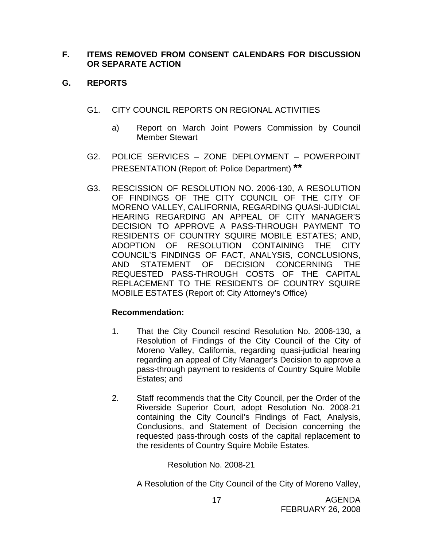## **F. ITEMS REMOVED FROM CONSENT CALENDARS FOR DISCUSSION OR SEPARATE ACTION**

# **G. REPORTS**

- G1. CITY COUNCIL REPORTS ON REGIONAL ACTIVITIES
	- a) Report on March Joint Powers Commission by Council Member Stewart
- G2. POLICE SERVICES ZONE DEPLOYMENT POWERPOINT PRESENTATION (Report of: Police Department) **\*\***
- G3. RESCISSION OF RESOLUTION NO. 2006-130, A RESOLUTION OF FINDINGS OF THE CITY COUNCIL OF THE CITY OF MORENO VALLEY, CALIFORNIA, REGARDING QUASI-JUDICIAL HEARING REGARDING AN APPEAL OF CITY MANAGER'S DECISION TO APPROVE A PASS-THROUGH PAYMENT TO RESIDENTS OF COUNTRY SQUIRE MOBILE ESTATES; AND, ADOPTION OF RESOLUTION CONTAINING THE CITY COUNCIL'S FINDINGS OF FACT, ANALYSIS, CONCLUSIONS, AND STATEMENT OF DECISION CONCERNING THE REQUESTED PASS-THROUGH COSTS OF THE CAPITAL REPLACEMENT TO THE RESIDENTS OF COUNTRY SQUIRE MOBILE ESTATES (Report of: City Attorney's Office)

# **Recommendation:**

- 1. That the City Council rescind Resolution No. 2006-130, a Resolution of Findings of the City Council of the City of Moreno Valley, California, regarding quasi-judicial hearing regarding an appeal of City Manager's Decision to approve a pass-through payment to residents of Country Squire Mobile Estates; and
- 2. Staff recommends that the City Council, per the Order of the Riverside Superior Court, adopt Resolution No. 2008-21 containing the City Council's Findings of Fact, Analysis, Conclusions, and Statement of Decision concerning the requested pass-through costs of the capital replacement to the residents of Country Squire Mobile Estates.

Resolution No. 2008-21

A Resolution of the City Council of the City of Moreno Valley,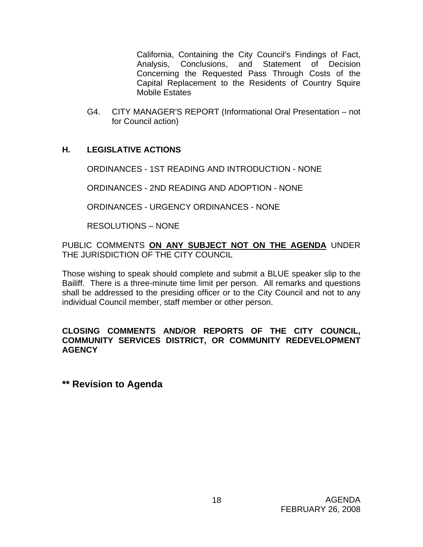California, Containing the City Council's Findings of Fact, Analysis, Conclusions, and Statement of Decision Concerning the Requested Pass Through Costs of the Capital Replacement to the Residents of Country Squire Mobile Estates

G4. CITY MANAGER'S REPORT (Informational Oral Presentation – not for Council action)

# **H. LEGISLATIVE ACTIONS**

ORDINANCES - 1ST READING AND INTRODUCTION - NONE

ORDINANCES - 2ND READING AND ADOPTION - NONE

ORDINANCES - URGENCY ORDINANCES - NONE

RESOLUTIONS – NONE

PUBLIC COMMENTS **ON ANY SUBJECT NOT ON THE AGENDA** UNDER THE JURISDICTION OF THE CITY COUNCIL

Those wishing to speak should complete and submit a BLUE speaker slip to the Bailiff. There is a three-minute time limit per person. All remarks and questions shall be addressed to the presiding officer or to the City Council and not to any individual Council member, staff member or other person.

## **CLOSING COMMENTS AND/OR REPORTS OF THE CITY COUNCIL, COMMUNITY SERVICES DISTRICT, OR COMMUNITY REDEVELOPMENT AGENCY**

**\*\* Revision to Agenda**